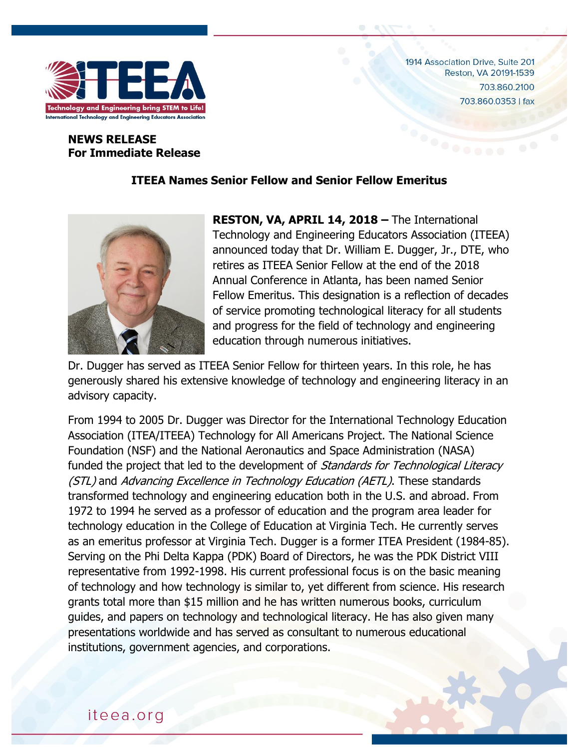

1914 Association Drive, Suite 201 Reston, VA 20191-1539 703.860.2100 703.860.0353 | fax

## **NEWS RELEASE For Immediate Release**

## **ITEEA Names Senior Fellow and Senior Fellow Emeritus**



**RESTON, VA, APRIL 14, 2018 –** The International Technology and Engineering Educators Association (ITEEA) announced today that Dr. William E. Dugger, Jr., DTE, who retires as ITEEA Senior Fellow at the end of the 2018 Annual Conference in Atlanta, has been named Senior Fellow Emeritus. This designation is a reflection of decades of service promoting technological literacy for all students and progress for the field of technology and engineering education through numerous initiatives.

Dr. Dugger has served as ITEEA Senior Fellow for thirteen years. In this role, he has generously shared his extensive knowledge of technology and engineering literacy in an advisory capacity.

From 1994 to 2005 Dr. Dugger was Director for the International Technology Education Association (ITEA/ITEEA) Technology for All Americans Project. The National Science Foundation (NSF) and the National Aeronautics and Space Administration (NASA) funded the project that led to the development of Standards for Technological Literacy (STL) and Advancing Excellence in Technology Education (AETL). These standards transformed technology and engineering education both in the U.S. and abroad. From 1972 to 1994 he served as a professor of education and the program area leader for technology education in the College of Education at Virginia Tech. He currently serves as an emeritus professor at Virginia Tech. Dugger is a former ITEA President (1984-85). Serving on the Phi Delta Kappa (PDK) Board of Directors, he was the PDK District VIII representative from 1992-1998. His current professional focus is on the basic meaning of technology and how technology is similar to, yet different from science. His research grants total more than \$15 million and he has written numerous books, curriculum guides, and papers on technology and technological literacy. He has also given many presentations worldwide and has served as consultant to numerous educational institutions, government agencies, and corporations.

## iteea.org